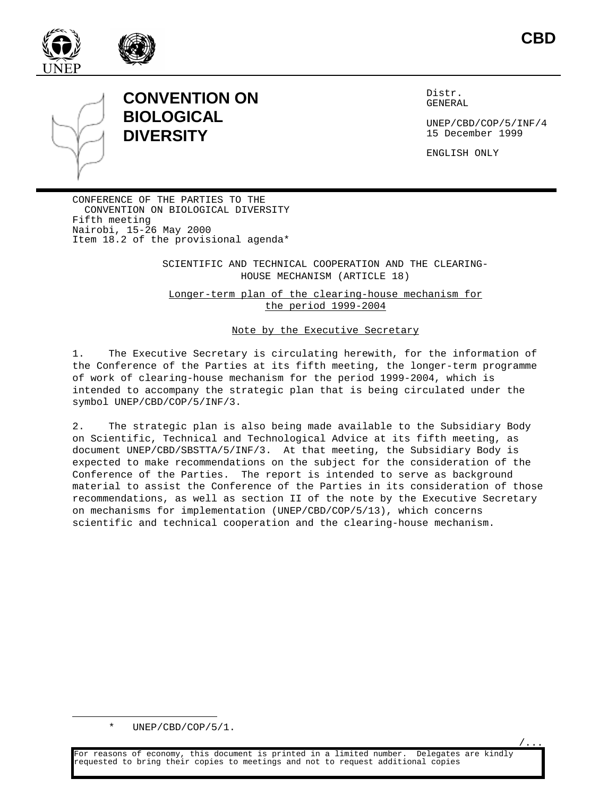



#### **CONVENTION ON BIOLOGICAL DIVERSITY**

Distr. GENERAL

UNEP/CBD/COP/5/INF/4 15 December 1999

ENGLISH ONLY

CONFERENCE OF THE PARTIES TO THE CONVENTION ON BIOLOGICAL DIVERSITY Fifth meeting Nairobi, 15-26 May 2000 Item 18.2 of the provisional agenda\*

> SCIENTIFIC AND TECHNICAL COOPERATION AND THE CLEARING-HOUSE MECHANISM (ARTICLE 18)

Longer-term plan of the clearing-house mechanism for the period 1999-2004

#### Note by the Executive Secretary

1. The Executive Secretary is circulating herewith, for the information of the Conference of the Parties at its fifth meeting, the longer-term programme of work of clearing-house mechanism for the period 1999-2004, which is intended to accompany the strategic plan that is being circulated under the symbol UNEP/CBD/COP/5/INF/3.

2. The strategic plan is also being made available to the Subsidiary Body on Scientific, Technical and Technological Advice at its fifth meeting, as document UNEP/CBD/SBSTTA/5/INF/3. At that meeting, the Subsidiary Body is expected to make recommendations on the subject for the consideration of the Conference of the Parties. The report is intended to serve as background material to assist the Conference of the Parties in its consideration of those recommendations, as well as section II of the note by the Executive Secretary on mechanisms for implementation (UNEP/CBD/COP/5/13), which concerns scientific and technical cooperation and the clearing-house mechanism.

<sup>\*</sup> UNEP/CBD/COP/5/1.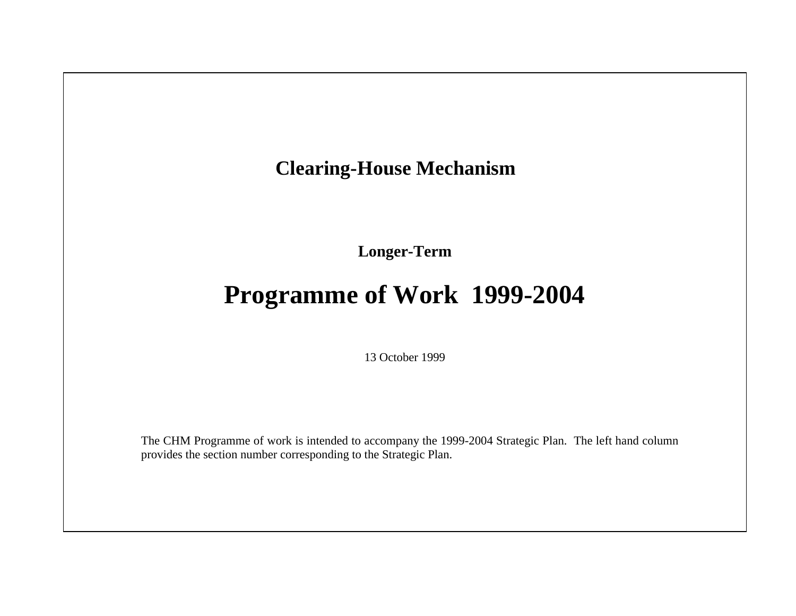## **Clearing-House Mechanism**

**Longer-Term** 

# **Programme of Work 1999-2004**

13 October 1999

The CHM Programme of work is intended to accompany the 1999-2004 Strategic Plan. The left hand column provides the section number corresponding to the Strategic Plan.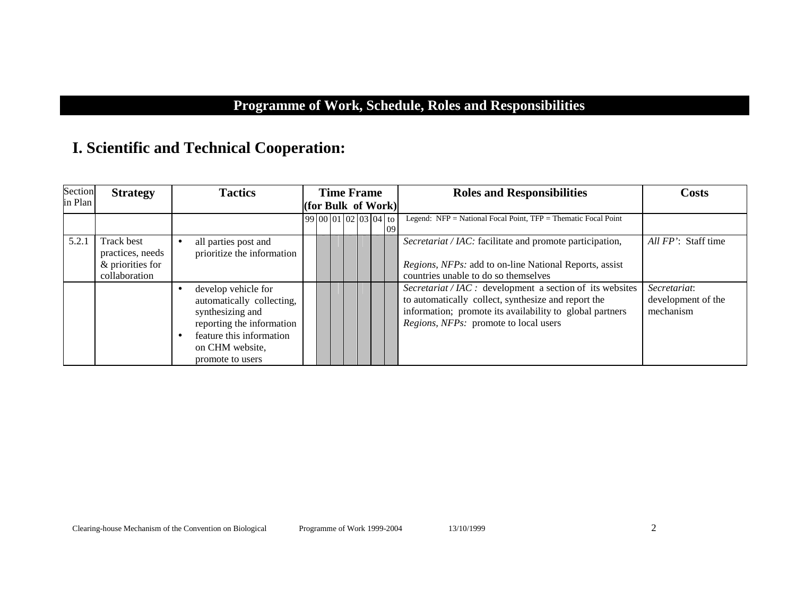#### **Programme of Work, Schedule, Roles and Responsibilities**

#### **I. Scientific and Technical Cooperation:**

| Section | <b>Strategy</b>                                                            | <b>Tactics</b>                                                                                                                                                       |  | <b>Time Frame</b>       |  |    | <b>Roles and Responsibilities</b>                                                                                                                                                                                              | <b>Costs</b>                                    |
|---------|----------------------------------------------------------------------------|----------------------------------------------------------------------------------------------------------------------------------------------------------------------|--|-------------------------|--|----|--------------------------------------------------------------------------------------------------------------------------------------------------------------------------------------------------------------------------------|-------------------------------------------------|
| in Plan |                                                                            |                                                                                                                                                                      |  | (for Bulk of Work)      |  |    |                                                                                                                                                                                                                                |                                                 |
|         |                                                                            |                                                                                                                                                                      |  | $99 00 01 02 03 04 $ to |  | 09 | Legend: $NFP = National Focal Point$ , $TFP = Thematic Focal Point$                                                                                                                                                            |                                                 |
| 5.2.1   | <b>Track best</b><br>practices, needs<br>& priorities for<br>collaboration | all parties post and<br>prioritize the information                                                                                                                   |  |                         |  |    | Secretariat / IAC: facilitate and promote participation,<br><i>Regions, NFPs:</i> add to on-line National Reports, assist<br>countries unable to do so themselves                                                              | All FP': Staff time                             |
|         |                                                                            | develop vehicle for<br>automatically collecting,<br>synthesizing and<br>reporting the information<br>feature this information<br>on CHM website,<br>promote to users |  |                         |  |    | <i>Secretariat</i> / $IAC$ : development a section of its websites<br>to automatically collect, synthesize and report the<br>information; promote its availability to global partners<br>Regions, NFPs: promote to local users | Secretariat:<br>development of the<br>mechanism |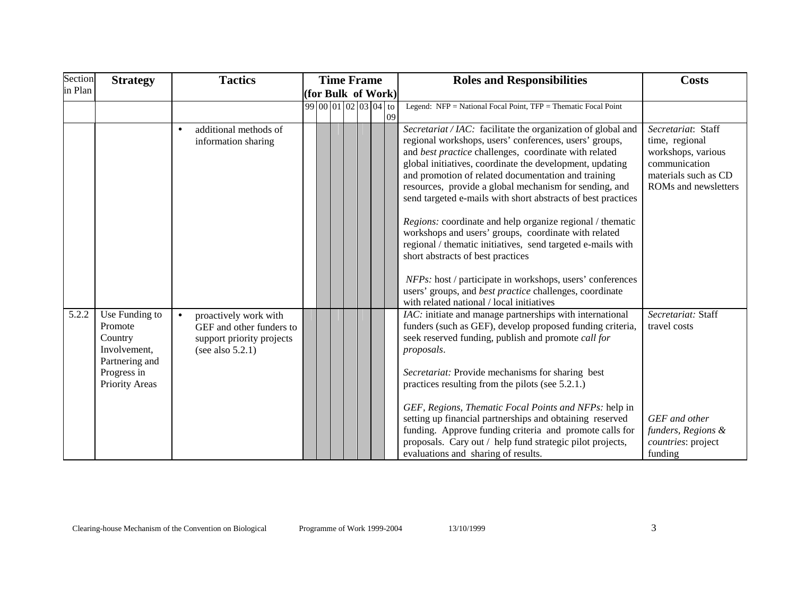| Section | <b>Strategy</b>                                                                                         | <b>Tactics</b>                                                                                        | <b>Time Frame</b>             | <b>Roles and Responsibilities</b>                                                                                                                                                                                                                                                                                                                                                                                                                                                                                                                                                                                                                                                                                                                                                                                          | <b>Costs</b>                                                                                                                |
|---------|---------------------------------------------------------------------------------------------------------|-------------------------------------------------------------------------------------------------------|-------------------------------|----------------------------------------------------------------------------------------------------------------------------------------------------------------------------------------------------------------------------------------------------------------------------------------------------------------------------------------------------------------------------------------------------------------------------------------------------------------------------------------------------------------------------------------------------------------------------------------------------------------------------------------------------------------------------------------------------------------------------------------------------------------------------------------------------------------------------|-----------------------------------------------------------------------------------------------------------------------------|
| in Plan |                                                                                                         |                                                                                                       | (for Bulk of Work)            |                                                                                                                                                                                                                                                                                                                                                                                                                                                                                                                                                                                                                                                                                                                                                                                                                            |                                                                                                                             |
|         |                                                                                                         |                                                                                                       | $99 00 01 02 03 04 $ to<br>09 | Legend: NFP = National Focal Point, TFP = Thematic Focal Point                                                                                                                                                                                                                                                                                                                                                                                                                                                                                                                                                                                                                                                                                                                                                             |                                                                                                                             |
|         |                                                                                                         | additional methods of<br>information sharing                                                          |                               | Secretariat / IAC: facilitate the organization of global and<br>regional workshops, users' conferences, users' groups,<br>and best practice challenges, coordinate with related<br>global initiatives, coordinate the development, updating<br>and promotion of related documentation and training<br>resources, provide a global mechanism for sending, and<br>send targeted e-mails with short abstracts of best practices<br>Regions: coordinate and help organize regional / thematic<br>workshops and users' groups, coordinate with related<br>regional / thematic initiatives, send targeted e-mails with<br>short abstracts of best practices<br>NFPs: host / participate in workshops, users' conferences<br>users' groups, and best practice challenges, coordinate<br>with related national / local initiatives | Secretariat: Staff<br>time, regional<br>workshops, various<br>communication<br>materials such as CD<br>ROMs and newsletters |
| 5.2.2   | Use Funding to<br>Promote<br>Country<br>Involvement,<br>Partnering and<br>Progress in<br>Priority Areas | proactively work with<br>GEF and other funders to<br>support priority projects<br>(see also $5.2.1$ ) |                               | IAC: initiate and manage partnerships with international<br>funders (such as GEF), develop proposed funding criteria,<br>seek reserved funding, publish and promote call for<br>proposals.<br>Secretariat: Provide mechanisms for sharing best<br>practices resulting from the pilots (see 5.2.1.)<br>GEF, Regions, Thematic Focal Points and NFPs: help in<br>setting up financial partnerships and obtaining reserved<br>funding. Approve funding criteria and promote calls for<br>proposals. Cary out / help fund strategic pilot projects,<br>evaluations and sharing of results.                                                                                                                                                                                                                                     | Secretariat: Staff<br>travel costs<br>GEF and other<br>funders, Regions &<br>countries: project<br>funding                  |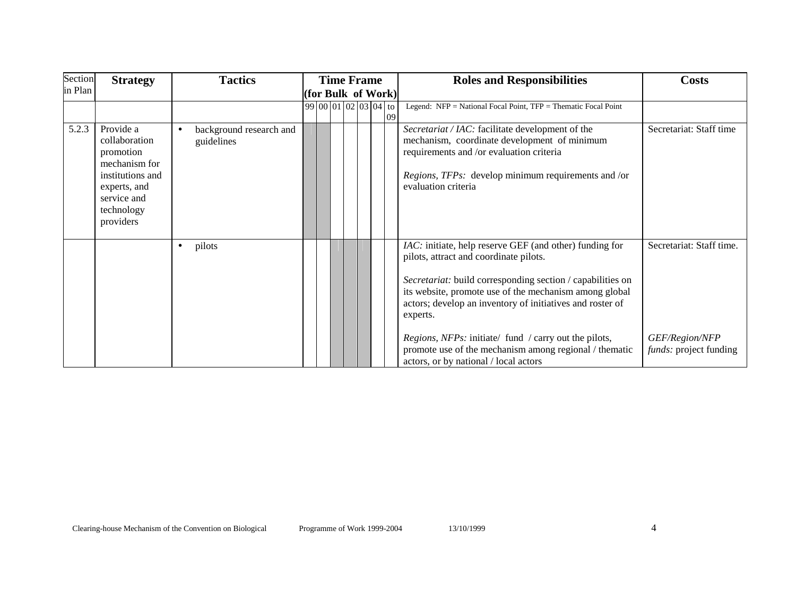| Section | <b>Strategy</b>                                                                                                                        | <b>Tactics</b>                        | <b>Time Frame</b>          | <b>Roles and Responsibilities</b>                                                                                                                                                                                                                                                                                                                                                                                                                                     | <b>Costs</b>                                                                |
|---------|----------------------------------------------------------------------------------------------------------------------------------------|---------------------------------------|----------------------------|-----------------------------------------------------------------------------------------------------------------------------------------------------------------------------------------------------------------------------------------------------------------------------------------------------------------------------------------------------------------------------------------------------------------------------------------------------------------------|-----------------------------------------------------------------------------|
| in Plan |                                                                                                                                        |                                       | $ $ (for Bulk of Work) $ $ |                                                                                                                                                                                                                                                                                                                                                                                                                                                                       |                                                                             |
|         |                                                                                                                                        |                                       | $99 00 01 02 03 04 $ to    | Legend: NFP = National Focal Point, TFP = Thematic Focal Point                                                                                                                                                                                                                                                                                                                                                                                                        |                                                                             |
| 5.2.3   | Provide a<br>collaboration<br>promotion<br>mechanism for<br>institutions and<br>experts, and<br>service and<br>technology<br>providers | background research and<br>guidelines |                            | Secretariat / IAC: facilitate development of the<br>mechanism, coordinate development of minimum<br>requirements and /or evaluation criteria<br><i>Regions, TFPs:</i> develop minimum requirements and /or<br>evaluation criteria                                                                                                                                                                                                                                     | Secretariat: Staff time                                                     |
|         |                                                                                                                                        | pilots<br>٠                           |                            | IAC: initiate, help reserve GEF (and other) funding for<br>pilots, attract and coordinate pilots.<br>Secretariat: build corresponding section / capabilities on<br>its website, promote use of the mechanism among global<br>actors; develop an inventory of initiatives and roster of<br>experts.<br><i>Regions, NFPs:</i> initiate/ fund / carry out the pilots,<br>promote use of the mechanism among regional / thematic<br>actors, or by national / local actors | Secretariat: Staff time.<br>GEF/Region/NFP<br><i>funds:</i> project funding |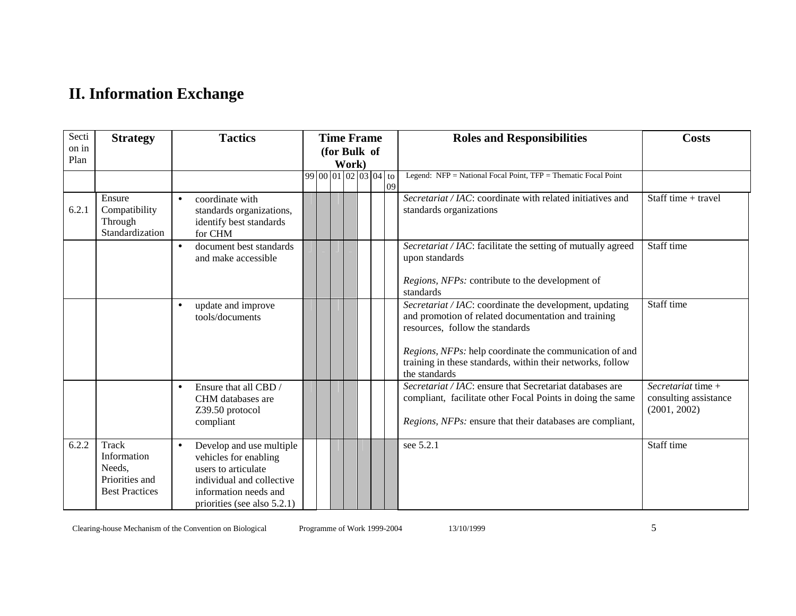### **II. Information Exchange**

| Secti<br>on in<br>Plan | <b>Strategy</b>                                                                  | <b>Tactics</b>                                                                                                                                                             | <b>Time Frame</b><br>(for Bulk of<br>Work) | <b>Roles and Responsibilities</b>                                                                                                                                                                                                                                                           | <b>Costs</b>                                                  |
|------------------------|----------------------------------------------------------------------------------|----------------------------------------------------------------------------------------------------------------------------------------------------------------------------|--------------------------------------------|---------------------------------------------------------------------------------------------------------------------------------------------------------------------------------------------------------------------------------------------------------------------------------------------|---------------------------------------------------------------|
|                        |                                                                                  |                                                                                                                                                                            | 99 00 01 02 03 04 to<br>09                 | Legend: NFP = National Focal Point, TFP = Thematic Focal Point                                                                                                                                                                                                                              |                                                               |
| 6.2.1                  | Ensure<br>Compatibility<br>Through<br>Standardization                            | coordinate with<br>$\bullet$<br>standards organizations,<br>identify best standards<br>for CHM                                                                             |                                            | Secretariat / IAC: coordinate with related initiatives and<br>standards organizations                                                                                                                                                                                                       | Staff time + travel                                           |
|                        |                                                                                  | document best standards<br>$\bullet$<br>and make accessible                                                                                                                |                                            | Secretariat / IAC: facilitate the setting of mutually agreed<br>upon standards<br>Regions, NFPs: contribute to the development of<br>standards                                                                                                                                              | Staff time                                                    |
|                        |                                                                                  | update and improve<br>tools/documents                                                                                                                                      |                                            | Secretariat / IAC: coordinate the development, updating<br>and promotion of related documentation and training<br>resources, follow the standards<br>Regions, NFPs: help coordinate the communication of and<br>training in these standards, within their networks, follow<br>the standards | Staff time                                                    |
|                        |                                                                                  | Ensure that all CBD /<br>$\bullet$<br>CHM databases are<br>Z39.50 protocol<br>compliant                                                                                    |                                            | Secretariat / IAC: ensure that Secretariat databases are<br>compliant, facilitate other Focal Points in doing the same<br>Regions, NFPs: ensure that their databases are compliant,                                                                                                         | Secretariat time $+$<br>consulting assistance<br>(2001, 2002) |
| 6.2.2                  | <b>Track</b><br>Information<br>Needs,<br>Priorities and<br><b>Best Practices</b> | Develop and use multiple<br>$\bullet$<br>vehicles for enabling<br>users to articulate<br>individual and collective<br>information needs and<br>priorities (see also 5.2.1) |                                            | see 5.2.1                                                                                                                                                                                                                                                                                   | Staff time                                                    |

Clearing-house Mechanism of the Convention on Biological Programme of Work 1999-2004 13/10/1999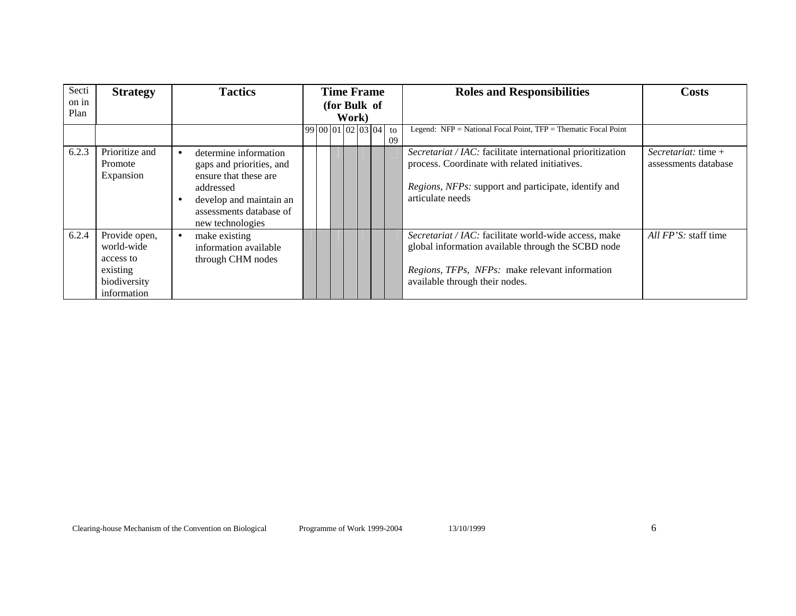| Secti<br>on in<br>Plan | <b>Strategy</b>                                                                     | <b>Tactics</b>                                                                                                                                                    |                            | <b>Time Frame</b><br>(for Bulk of |    | <b>Roles and Responsibilities</b>                                                                                                                                                               | Costs                                         |
|------------------------|-------------------------------------------------------------------------------------|-------------------------------------------------------------------------------------------------------------------------------------------------------------------|----------------------------|-----------------------------------|----|-------------------------------------------------------------------------------------------------------------------------------------------------------------------------------------------------|-----------------------------------------------|
|                        |                                                                                     |                                                                                                                                                                   | Work)<br>99 00 01 02 03 04 |                                   | to | Legend: $NFP = National Focal Point$ , $TFP = Thematic Focal Point$                                                                                                                             |                                               |
|                        |                                                                                     |                                                                                                                                                                   |                            |                                   | 09 |                                                                                                                                                                                                 |                                               |
| 6.2.3                  | Prioritize and<br>Promote<br>Expansion                                              | determine information<br>gaps and priorities, and<br>ensure that these are<br>addressed<br>develop and maintain an<br>assessments database of<br>new technologies |                            |                                   |    | Secretariat / IAC: facilitate international prioritization<br>process. Coordinate with related initiatives.<br>Regions, NFPs: support and participate, identify and<br>articulate needs         | Secretariat: time $+$<br>assessments database |
| 6.2.4                  | Provide open,<br>world-wide<br>access to<br>existing<br>biodiversity<br>information | make existing<br>information available<br>through CHM nodes                                                                                                       |                            |                                   |    | Secretariat / IAC: facilitate world-wide access, make<br>global information available through the SCBD node<br>Regions, TFPs, NFPs: make relevant information<br>available through their nodes. | All FP'S: staff time                          |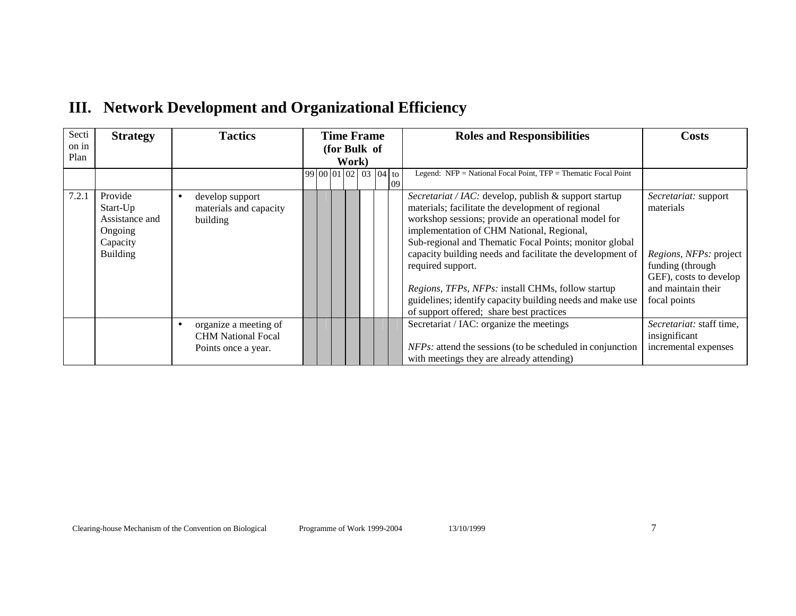| Secti         | <b>Strategy</b>                                                                 | <b>Tactics</b>                                                            | <b>Time Frame</b>                | <b>Roles and Responsibilities</b>                                                                                                                                                                                                                                                                                                                                                                                                                                                                                        | <b>Costs</b>                                                                                                                                    |
|---------------|---------------------------------------------------------------------------------|---------------------------------------------------------------------------|----------------------------------|--------------------------------------------------------------------------------------------------------------------------------------------------------------------------------------------------------------------------------------------------------------------------------------------------------------------------------------------------------------------------------------------------------------------------------------------------------------------------------------------------------------------------|-------------------------------------------------------------------------------------------------------------------------------------------------|
| on in<br>Plan |                                                                                 |                                                                           | (for Bulk of                     |                                                                                                                                                                                                                                                                                                                                                                                                                                                                                                                          |                                                                                                                                                 |
|               |                                                                                 |                                                                           | Work)                            |                                                                                                                                                                                                                                                                                                                                                                                                                                                                                                                          |                                                                                                                                                 |
|               |                                                                                 |                                                                           | 99 00 01 02<br>$03 04 $ to<br>09 | Legend: $NFP = National Focal Point$ , $TFP = Thematic Focal Point$                                                                                                                                                                                                                                                                                                                                                                                                                                                      |                                                                                                                                                 |
| 7.2.1         | Provide<br>Start-Up<br>Assistance and<br>Ongoing<br>Capacity<br><b>Building</b> | develop support<br>materials and capacity<br>building                     |                                  | Secretariat / IAC: develop, publish & support startup<br>materials; facilitate the development of regional<br>workshop sessions; provide an operational model for<br>implementation of CHM National, Regional,<br>Sub-regional and Thematic Focal Points; monitor global<br>capacity building needs and facilitate the development of<br>required support.<br>Regions, TFPs, NFPs: install CHMs, follow startup<br>guidelines; identify capacity building needs and make use<br>of support offered; share best practices | Secretariat: support<br>materials<br>Regions, NFPs: project<br>funding (through<br>GEF), costs to develop<br>and maintain their<br>focal points |
|               |                                                                                 | organize a meeting of<br><b>CHM National Focal</b><br>Points once a year. |                                  | Secretariat / IAC: organize the meetings<br>$NFPs$ : attend the sessions (to be scheduled in conjunction<br>with meetings they are already attending)                                                                                                                                                                                                                                                                                                                                                                    | Secretariat: staff time,<br>insignificant<br>incremental expenses                                                                               |

### **III. Network Development and Organizational Efficiency**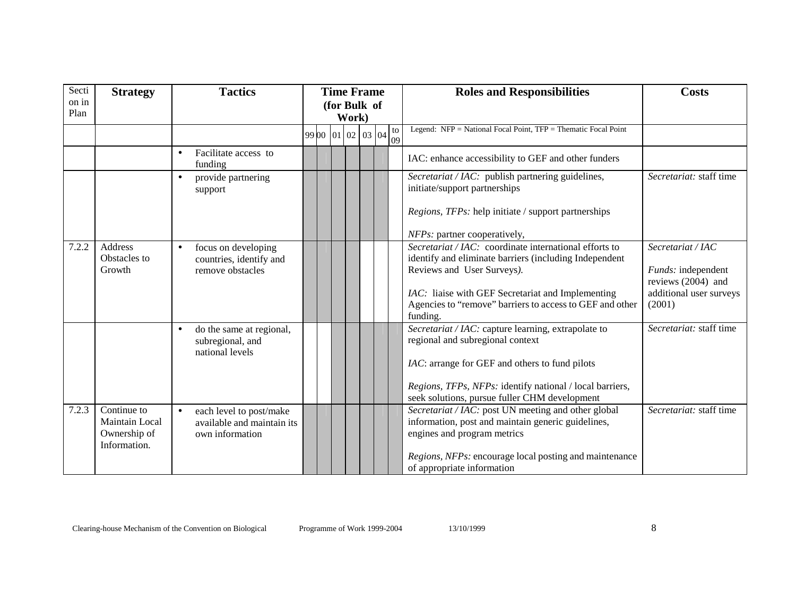| Secti<br>on in<br>Plan | <b>Strategy</b>                                               | <b>Tactics</b>                                                                        | <b>Time Frame</b><br>(for Bulk of<br>Work) |  |                 | <b>Roles and Responsibilities</b>                                                                                                              | <b>Costs</b>                                                         |
|------------------------|---------------------------------------------------------------|---------------------------------------------------------------------------------------|--------------------------------------------|--|-----------------|------------------------------------------------------------------------------------------------------------------------------------------------|----------------------------------------------------------------------|
|                        |                                                               |                                                                                       | 99 00 01 02 03 04                          |  | $\frac{10}{09}$ | Legend: NFP = National Focal Point, TFP = Thematic Focal Point                                                                                 |                                                                      |
|                        |                                                               | Facilitate access to<br>$\bullet$<br>funding                                          |                                            |  |                 | IAC: enhance accessibility to GEF and other funders                                                                                            |                                                                      |
|                        |                                                               | provide partnering<br>$\bullet$<br>support                                            |                                            |  |                 | Secretariat / IAC: publish partnering guidelines,<br>initiate/support partnerships                                                             | Secretariat: staff time                                              |
|                        |                                                               |                                                                                       |                                            |  |                 | <i>Regions, TFPs:</i> help initiate / support partnerships                                                                                     |                                                                      |
|                        |                                                               |                                                                                       |                                            |  |                 | NFPs: partner cooperatively,                                                                                                                   |                                                                      |
| 7.2.2                  | <b>Address</b><br>Obstacles to<br>Growth                      | focus on developing<br>$\bullet$<br>countries, identify and<br>remove obstacles       |                                            |  |                 | Secretariat / IAC: coordinate international efforts to<br>identify and eliminate barriers (including Independent<br>Reviews and User Surveys). | Secretariat / IAC<br><i>Funds:</i> independent<br>reviews (2004) and |
|                        |                                                               |                                                                                       |                                            |  |                 | IAC: liaise with GEF Secretariat and Implementing<br>Agencies to "remove" barriers to access to GEF and other<br>funding.                      | additional user surveys<br>(2001)                                    |
|                        |                                                               | do the same at regional,<br>subregional, and<br>national levels                       |                                            |  |                 | Secretariat / IAC: capture learning, extrapolate to<br>regional and subregional context                                                        | Secretariat: staff time                                              |
|                        |                                                               |                                                                                       |                                            |  |                 | IAC: arrange for GEF and others to fund pilots                                                                                                 |                                                                      |
|                        |                                                               |                                                                                       |                                            |  |                 | Regions, TFPs, NFPs: identify national / local barriers,<br>seek solutions, pursue fuller CHM development                                      |                                                                      |
| 7.2.3                  | Continue to<br>Maintain Local<br>Ownership of<br>Information. | each level to post/make<br>$\bullet$<br>available and maintain its<br>own information |                                            |  |                 | Secretariat / IAC: post UN meeting and other global<br>information, post and maintain generic guidelines,<br>engines and program metrics       | Secretariat: staff time                                              |
|                        |                                                               |                                                                                       |                                            |  |                 | Regions, NFPs: encourage local posting and maintenance<br>of appropriate information                                                           |                                                                      |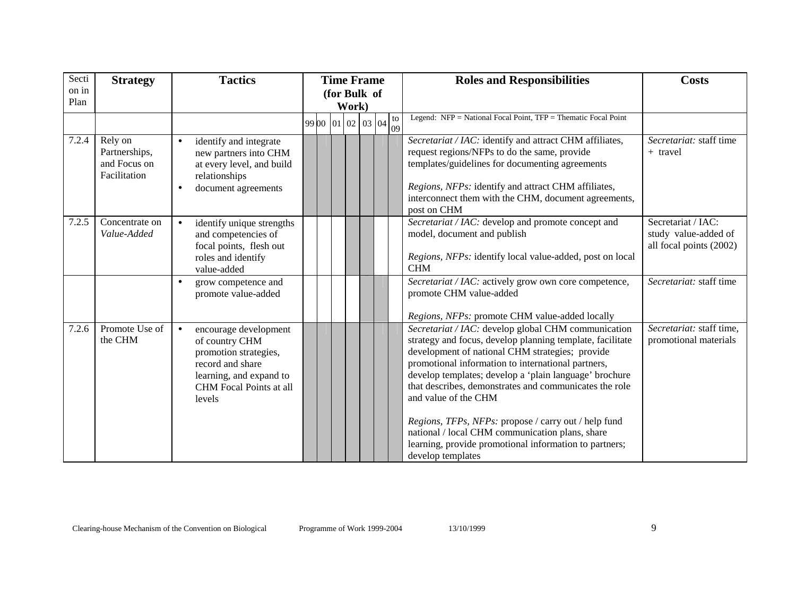| Secti<br>on in | <b>Strategy</b>                                          | <b>Tactics</b>                                                                                                                                                    | <b>Time Frame</b>     |  |  |  | <b>Roles and Responsibilities</b>                                                                                                                                                                                                                                                                                                                                                                                                                                                                                                                               | <b>Costs</b>                                                          |
|----------------|----------------------------------------------------------|-------------------------------------------------------------------------------------------------------------------------------------------------------------------|-----------------------|--|--|--|-----------------------------------------------------------------------------------------------------------------------------------------------------------------------------------------------------------------------------------------------------------------------------------------------------------------------------------------------------------------------------------------------------------------------------------------------------------------------------------------------------------------------------------------------------------------|-----------------------------------------------------------------------|
| Plan           |                                                          |                                                                                                                                                                   | (for Bulk of<br>Work) |  |  |  |                                                                                                                                                                                                                                                                                                                                                                                                                                                                                                                                                                 |                                                                       |
|                |                                                          |                                                                                                                                                                   | 99 00 01 02 03 04 to  |  |  |  | Legend: NFP = National Focal Point, TFP = Thematic Focal Point                                                                                                                                                                                                                                                                                                                                                                                                                                                                                                  |                                                                       |
| 7.2.4          | Rely on<br>Partnerships,<br>and Focus on<br>Facilitation | identify and integrate<br>$\bullet$<br>new partners into CHM<br>at every level, and build<br>relationships<br>document agreements                                 |                       |  |  |  | Secretariat / IAC: identify and attract CHM affiliates,<br>request regions/NFPs to do the same, provide<br>templates/guidelines for documenting agreements<br>Regions, NFPs: identify and attract CHM affiliates,<br>interconnect them with the CHM, document agreements,<br>post on CHM                                                                                                                                                                                                                                                                        | Secretariat: staff time<br>+ travel                                   |
| 7.2.5          | Concentrate on<br>Value-Added                            | identify unique strengths<br>$\bullet$<br>and competencies of<br>focal points, flesh out<br>roles and identify<br>value-added                                     |                       |  |  |  | Secretariat / IAC: develop and promote concept and<br>model, document and publish<br>Regions, NFPs: identify local value-added, post on local<br><b>CHM</b>                                                                                                                                                                                                                                                                                                                                                                                                     | Secretariat / IAC:<br>study value-added of<br>all focal points (2002) |
|                |                                                          | grow competence and<br>$\bullet$<br>promote value-added                                                                                                           |                       |  |  |  | Secretariat / IAC: actively grow own core competence,<br>promote CHM value-added<br>Regions, NFPs: promote CHM value-added locally                                                                                                                                                                                                                                                                                                                                                                                                                              | Secretariat: staff time                                               |
| 7.2.6          | Promote Use of<br>the CHM                                | encourage development<br>$\bullet$<br>of country CHM<br>promotion strategies,<br>record and share<br>learning, and expand to<br>CHM Focal Points at all<br>levels |                       |  |  |  | Secretariat / IAC: develop global CHM communication<br>strategy and focus, develop planning template, facilitate<br>development of national CHM strategies; provide<br>promotional information to international partners,<br>develop templates; develop a 'plain language' brochure<br>that describes, demonstrates and communicates the role<br>and value of the CHM<br>Regions, TFPs, NFPs: propose / carry out / help fund<br>national / local CHM communication plans, share<br>learning, provide promotional information to partners;<br>develop templates | Secretariat: staff time,<br>promotional materials                     |